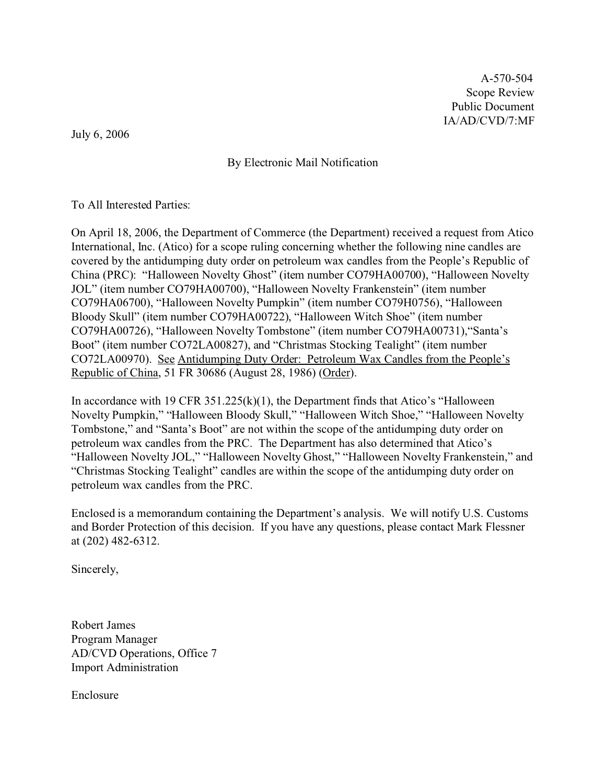A-570-504 Scope Review Public Document IA/AD/CVD/7:MF

July 6, 2006

By Electronic Mail Notification

To All Interested Parties:

On April 18, 2006, the Department of Commerce (the Department) received a request from Atico International, Inc. (Atico) for a scope ruling concerning whether the following nine candles are covered by the antidumping duty order on petroleum wax candles from the People's Republic of China (PRC): "Halloween Novelty Ghost" (item number CO79HA00700), "Halloween Novelty JOL" (item number CO79HA00700), "Halloween Novelty Frankenstein" (item number CO79HA06700), "Halloween Novelty Pumpkin" (item number CO79H0756), "Halloween Bloody Skull" (item number CO79HA00722), "Halloween Witch Shoe" (item number CO79HA00726), "Halloween Novelty Tombstone" (item number CO79HA00731),"Santa's Boot" (item number CO72LA00827), and "Christmas Stocking Tealight" (item number CO72LA00970). See Antidumping Duty Order: Petroleum Wax Candles from the People's Republic of China, 51 FR 30686 (August 28, 1986) (Order).

In accordance with 19 CFR  $351.225(k)(1)$ , the Department finds that Atico's "Halloween" Novelty Pumpkin," "Halloween Bloody Skull," "Halloween Witch Shoe," "Halloween Novelty Tombstone," and "Santa's Boot" are not within the scope of the antidumping duty order on petroleum wax candles from the PRC. The Department has also determined that Atico's "Halloween Novelty JOL," "Halloween Novelty Ghost," "Halloween Novelty Frankenstein," and "Christmas Stocking Tealight" candles are within the scope of the antidumping duty order on petroleum wax candles from the PRC.

Enclosed is a memorandum containing the Department's analysis. We will notify U.S. Customs and Border Protection of this decision. If you have any questions, please contact Mark Flessner at (202) 482-6312.

Sincerely,

Robert James Program Manager AD/CVD Operations, Office 7 Import Administration

Enclosure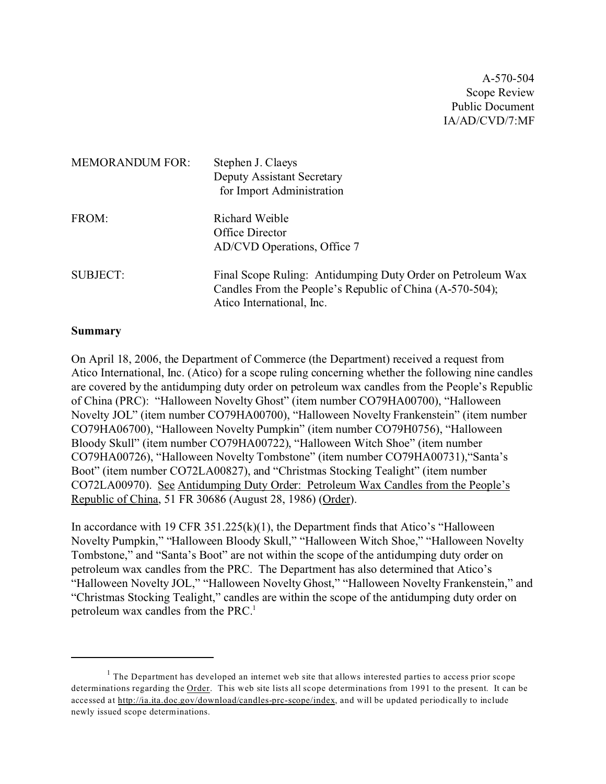A-570-504 Scope Review Public Document IA/AD/CVD/7:MF

| <b>MEMORANDUM FOR:</b> | Stephen J. Claeys<br>Deputy Assistant Secretary<br>for Import Administration                                                                         |
|------------------------|------------------------------------------------------------------------------------------------------------------------------------------------------|
| FROM:                  | Richard Weible<br>Office Director<br>AD/CVD Operations, Office 7                                                                                     |
| <b>SUBJECT:</b>        | Final Scope Ruling: Antidumping Duty Order on Petroleum Wax<br>Candles From the People's Republic of China (A-570-504);<br>Atico International, Inc. |

#### **Summary**

On April 18, 2006, the Department of Commerce (the Department) received a request from Atico International, Inc. (Atico) for a scope ruling concerning whether the following nine candles are covered by the antidumping duty order on petroleum wax candles from the People's Republic of China (PRC): "Halloween Novelty Ghost" (item number CO79HA00700), "Halloween Novelty JOL" (item number CO79HA00700), "Halloween Novelty Frankenstein" (item number CO79HA06700), "Halloween Novelty Pumpkin" (item number CO79H0756), "Halloween Bloody Skull" (item number CO79HA00722), "Halloween Witch Shoe" (item number CO79HA00726), "Halloween Novelty Tombstone" (item number CO79HA00731),"Santa's Boot" (item number CO72LA00827), and "Christmas Stocking Tealight" (item number CO72LA00970). See Antidumping Duty Order: Petroleum Wax Candles from the People's Republic of China, 51 FR 30686 (August 28, 1986) (Order).

In accordance with 19 CFR  $351.225(k)(1)$ , the Department finds that Atico's "Halloween" Novelty Pumpkin," "Halloween Bloody Skull," "Halloween Witch Shoe," "Halloween Novelty Tombstone," and "Santa's Boot" are not within the scope of the antidumping duty order on petroleum wax candles from the PRC. The Department has also determined that Atico's "Halloween Novelty JOL," "Halloween Novelty Ghost," "Halloween Novelty Frankenstein," and "Christmas Stocking Tealight," candles are within the scope of the antidumping duty order on petroleum wax candles from the PRC.<sup>1</sup>

 $<sup>1</sup>$  The Department has developed an internet web site that allows interested parties to access prior scope</sup> determinations regarding the Order. This web site lists all scope determinations from 1991 to the present. It can be accessed at [http://ia.ita.doc.gov/download/candles-prc-scope/index,](http://ia.ita.doc.gov/download/candles-prc-scope/,) and will be updated periodically to include newly issued scope determinations.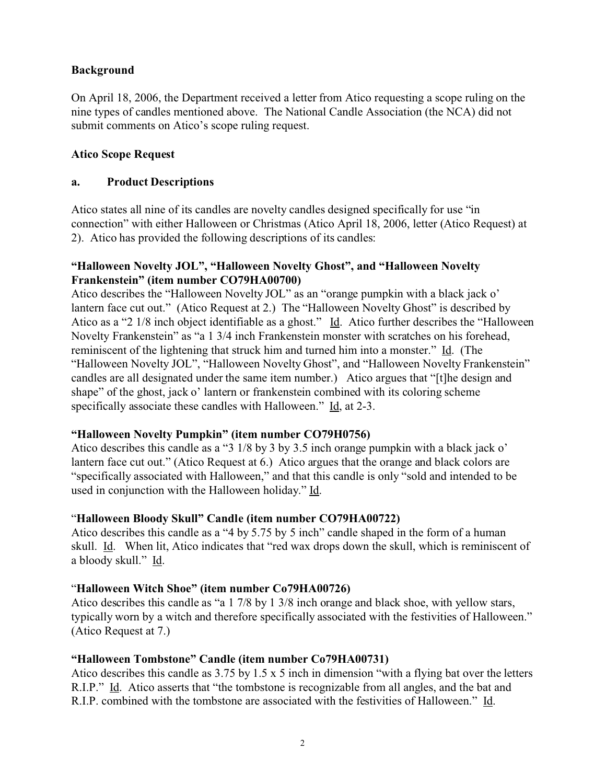## **Background**

On April 18, 2006, the Department received a letter from Atico requesting a scope ruling on the nine types of candles mentioned above. The National Candle Association (the NCA) did not submit comments on Atico's scope ruling request.

#### **Atico Scope Request**

#### **a. Product Descriptions**

Atico states all nine of its candles are novelty candles designed specifically for use "in connection" with either Halloween or Christmas (Atico April 18, 2006, letter (Atico Request) at 2). Atico has provided the following descriptions of its candles:

#### **"Halloween Novelty JOL", "Halloween Novelty Ghost", and "Halloween Novelty Frankenstein" (item number CO79HA00700)**

Atico describes the "Halloween Novelty JOL" as an "orange pumpkin with a black jack o' lantern face cut out." (Atico Request at 2.) The "Halloween Novelty Ghost" is described by Atico as a "2 1/8 inch object identifiable as a ghost." Id. Atico further describes the "Halloween" Novelty Frankenstein" as "a 1 3/4 inch Frankenstein monster with scratches on his forehead, reminiscent of the lightening that struck him and turned him into a monster." Id. (The "Halloween Novelty JOL", "Halloween Novelty Ghost", and "Halloween Novelty Frankenstein" candles are all designated under the same item number.) Atico argues that "[t]he design and shape" of the ghost, jack o' lantern or frankenstein combined with its coloring scheme specifically associate these candles with Halloween." Id, at 2-3.

## **"Halloween Novelty Pumpkin" (item number CO79H0756)**

Atico describes this candle as a "3 1/8 by 3 by 3.5 inch orange pumpkin with a black jack o' lantern face cut out." (Atico Request at 6.) Atico argues that the orange and black colors are "specifically associated with Halloween," and that this candle is only "sold and intended to be used in conjunction with the Halloween holiday." Id.

## "**Halloween Bloody Skull" Candle (item number CO79HA00722)**

Atico describes this candle as a "4 by 5.75 by 5 inch" candle shaped in the form of a human skull. Id. When lit, Atico indicates that "red wax drops down the skull, which is reminiscent of a bloody skull." Id.

## "**Halloween Witch Shoe" (item number Co79HA00726)**

Atico describes this candle as "a 1 7/8 by 1 3/8 inch orange and black shoe, with yellow stars, typically worn by a witch and therefore specifically associated with the festivities of Halloween." (Atico Request at 7.)

## **"Halloween Tombstone" Candle (item number Co79HA00731)**

Atico describes this candle as 3.75 by 1.5 x 5 inch in dimension "with a flying bat over the letters R.I.P." Id. Atico asserts that "the tombstone is recognizable from all angles, and the bat and R.I.P. combined with the tombstone are associated with the festivities of Halloween." Id.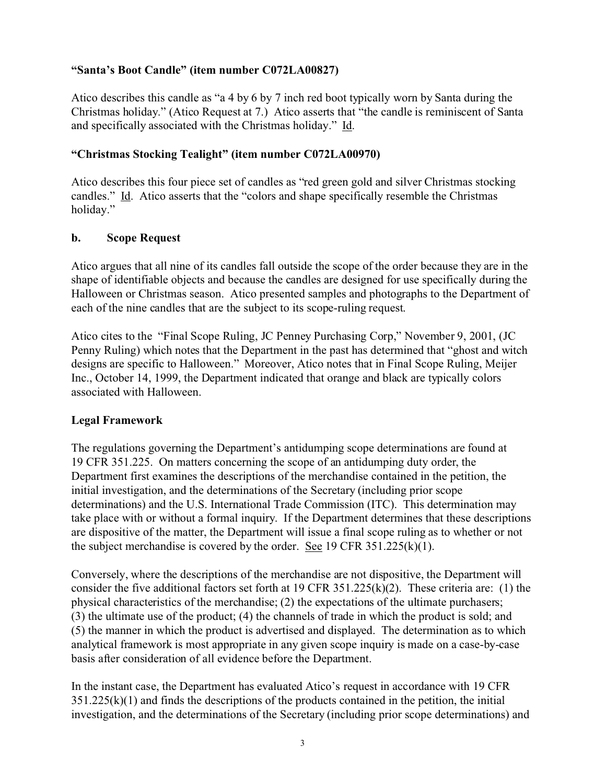#### **"Santa's Boot Candle" (item number C072LA00827)**

Atico describes this candle as "a 4 by 6 by 7 inch red boot typically worn by Santa during the Christmas holiday." (Atico Request at 7.) Atico asserts that "the candle is reminiscent of Santa and specifically associated with the Christmas holiday." Id.

#### **"Christmas Stocking Tealight" (item number C072LA00970)**

Atico describes this four piece set of candles as "red green gold and silver Christmas stocking candles." Id. Atico asserts that the "colors and shape specifically resemble the Christmas holiday."

#### **b. Scope Request**

Atico argues that all nine of its candles fall outside the scope of the order because they are in the shape of identifiable objects and because the candles are designed for use specifically during the Halloween or Christmas season. Atico presented samples and photographs to the Department of each of the nine candles that are the subject to its scope-ruling request.

Atico cites to the "Final Scope Ruling, JC Penney Purchasing Corp," November 9, 2001, (JC Penny Ruling) which notes that the Department in the past has determined that "ghost and witch designs are specific to Halloween." Moreover, Atico notes that in Final Scope Ruling, Meijer Inc., October 14, 1999, the Department indicated that orange and black are typically colors associated with Halloween.

## **Legal Framework**

The regulations governing the Department's antidumping scope determinations are found at 19 CFR 351.225. On matters concerning the scope of an antidumping duty order, the Department first examines the descriptions of the merchandise contained in the petition, the initial investigation, and the determinations of the Secretary (including prior scope determinations) and the U.S. International Trade Commission (ITC). This determination may take place with or without a formal inquiry. If the Department determines that these descriptions are dispositive of the matter, the Department will issue a final scope ruling as to whether or not the subject merchandise is covered by the order. See 19 CFR 351.225(k)(1).

Conversely, where the descriptions of the merchandise are not dispositive, the Department will consider the five additional factors set forth at 19 CFR 351.225(k)(2). These criteria are: (1) the physical characteristics of the merchandise; (2) the expectations of the ultimate purchasers; (3) the ultimate use of the product; (4) the channels of trade in which the product is sold; and (5) the manner in which the product is advertised and displayed. The determination as to which analytical framework is most appropriate in any given scope inquiry is made on a case-by-case basis after consideration of all evidence before the Department.

In the instant case, the Department has evaluated Atico's request in accordance with 19 CFR  $351.225(k)(1)$  and finds the descriptions of the products contained in the petition, the initial investigation, and the determinations of the Secretary (including prior scope determinations) and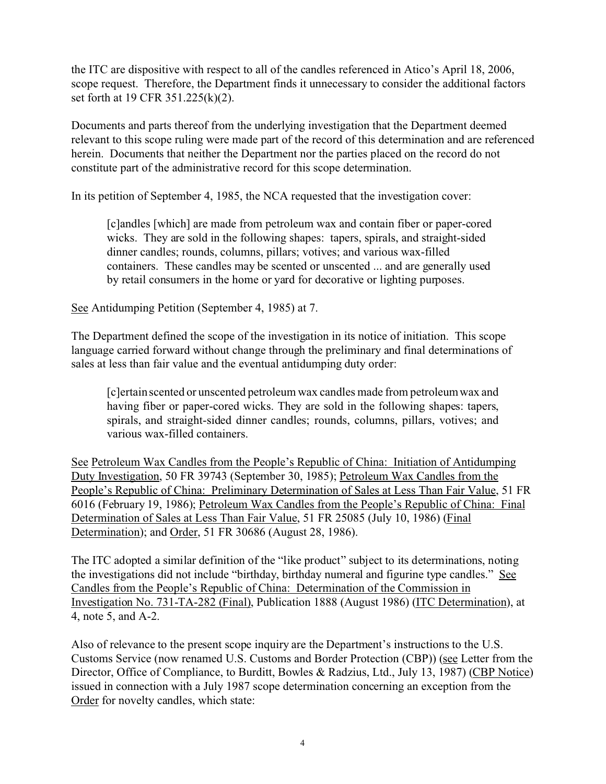the ITC are dispositive with respect to all of the candles referenced in Atico's April 18, 2006, scope request. Therefore, the Department finds it unnecessary to consider the additional factors set forth at 19 CFR 351.225(k)(2).

Documents and parts thereof from the underlying investigation that the Department deemed relevant to this scope ruling were made part of the record of this determination and are referenced herein. Documents that neither the Department nor the parties placed on the record do not constitute part of the administrative record for this scope determination.

In its petition of September 4, 1985, the NCA requested that the investigation cover:

[c]andles [which] are made from petroleum wax and contain fiber or paper-cored wicks. They are sold in the following shapes: tapers, spirals, and straight-sided dinner candles; rounds, columns, pillars; votives; and various wax-filled containers. These candles may be scented or unscented ... and are generally used by retail consumers in the home or yard for decorative or lighting purposes.

See Antidumping Petition (September 4, 1985) at 7.

The Department defined the scope of the investigation in its notice of initiation. This scope language carried forward without change through the preliminary and final determinations of sales at less than fair value and the eventual antidumping duty order:

[c]ertain scented or unscented petroleum wax candles made from petroleum wax and having fiber or paper-cored wicks. They are sold in the following shapes: tapers, spirals, and straight-sided dinner candles; rounds, columns, pillars, votives; and various wax-filled containers.

See Petroleum Wax Candles from the People's Republic of China: Initiation of Antidumping Duty Investigation, 50 FR 39743 (September 30, 1985); Petroleum Wax Candles from the People's Republic of China: Preliminary Determination of Sales at Less Than Fair Value, 51 FR 6016 (February 19, 1986); Petroleum Wax Candles from the People's Republic of China: Final Determination of Sales at Less Than Fair Value, 51 FR 25085 (July 10, 1986) (Final Determination); and Order, 51 FR 30686 (August 28, 1986).

The ITC adopted a similar definition of the "like product" subject to its determinations, noting the investigations did not include "birthday, birthday numeral and figurine type candles." See Candles from the People's Republic of China: Determination of the Commission in Investigation No. 731-TA-282 (Final), Publication 1888 (August 1986) (ITC Determination), at 4, note 5, and A-2.

Also of relevance to the present scope inquiry are the Department's instructions to the U.S. Customs Service (now renamed U.S. Customs and Border Protection (CBP)) (see Letter from the Director, Office of Compliance, to Burditt, Bowles & Radzius, Ltd., July 13, 1987) (CBP Notice) issued in connection with a July 1987 scope determination concerning an exception from the Order for novelty candles, which state: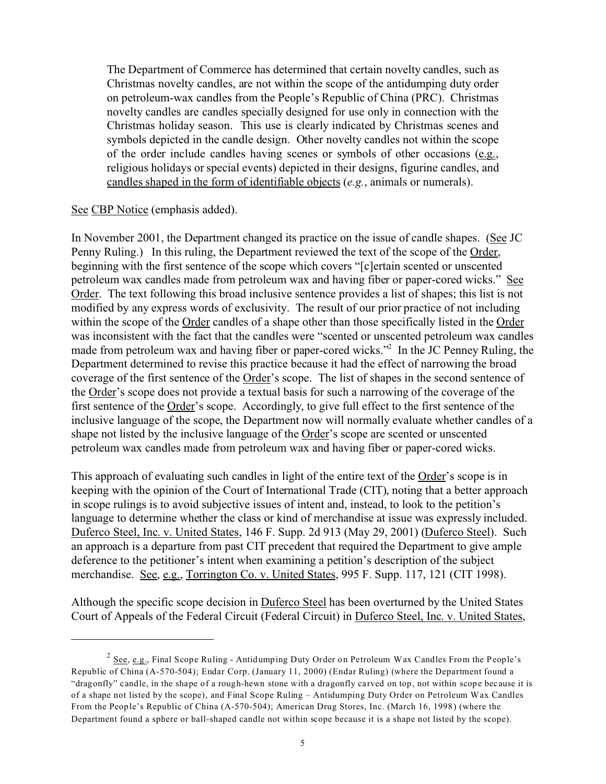The Department of Commerce has determined that certain novelty candles, such as Christmas novelty candles, are not within the scope of the antidumping duty order on petroleum-wax candles from the People's Republic of China (PRC). Christmas novelty candles are candles specially designed for use only in connection with the Christmas holiday season. This use is clearly indicated by Christmas scenes and symbols depicted in the candle design. Other novelty candles not within the scope of the order include candles having scenes or symbols of other occasions (e.g., religious holidays or special events) depicted in their designs, figurine candles, and candles shaped in the form of identifiable objects (*e.g.*, animals or numerals).

#### See CBP Notice (emphasis added).

In November 2001, the Department changed its practice on the issue of candle shapes. (See JC Penny Ruling.) In this ruling, the Department reviewed the text of the scope of the Order, beginning with the first sentence of the scope which covers "[c]ertain scented or unscented petroleum wax candles made from petroleum wax and having fiber or paper-cored wicks." See Order. The text following this broad inclusive sentence provides a list of shapes; this list is not modified by any express words of exclusivity. The result of our prior practice of not including within the scope of the Order candles of a shape other than those specifically listed in the Order was inconsistent with the fact that the candles were "scented or unscented petroleum wax candles made from petroleum wax and having fiber or paper-cored wicks."<sup>2</sup> In the JC Penney Ruling, the Department determined to revise this practice because it had the effect of narrowing the broad coverage of the first sentence of the Order's scope. The list of shapes in the second sentence of the Order's scope does not provide a textual basis for such a narrowing of the coverage of the first sentence of the Order's scope. Accordingly, to give full effect to the first sentence of the inclusive language of the scope, the Department now will normally evaluate whether candles of a shape not listed by the inclusive language of the Order's scope are scented or unscented petroleum wax candles made from petroleum wax and having fiber or paper-cored wicks.

This approach of evaluating such candles in light of the entire text of the Order's scope is in keeping with the opinion of the Court of International Trade (CIT), noting that a better approach in scope rulings is to avoid subjective issues of intent and, instead, to look to the petition's language to determine whether the class or kind of merchandise at issue was expressly included. Duferco Steel, Inc. v. United States, 146 F. Supp. 2d 913 (May 29, 2001) (Duferco Steel). Such an approach is a departure from past CIT precedent that required the Department to give ample deference to the petitioner's intent when examining a petition's description of the subject merchandise. See, e.g., Torrington Co. v. United States, 995 F. Supp. 117, 121 (CIT 1998).

Although the specific scope decision in Duferco Steel has been overturned by the United States Court of Appeals of the Federal Circuit (Federal Circuit) in Duferco Steel, Inc. v. United States,

 $^2$  <u>See, e.g.</u>, Final Scope Ruling - Antidumping Duty Order on Petroleum Wax Candles From the People's Republic of China (A-570-504); Endar Corp. (January 11, 2000) (Endar Ruling) (where the Department found a "dragonfly" candle, in the shape of a rough-hewn stone with a dragonfly carved on top, not within scope because it is of a shape not listed by the scope), and Final Scope Ruling – Antidumping Duty Order on Petroleum Wax Candles From the People's Republic of China (A-570-504); American Drug Stores, Inc. (March 16, 1998) (where the Department found a sphere or ball-shaped candle not within scope because it is a shape not listed by the scope).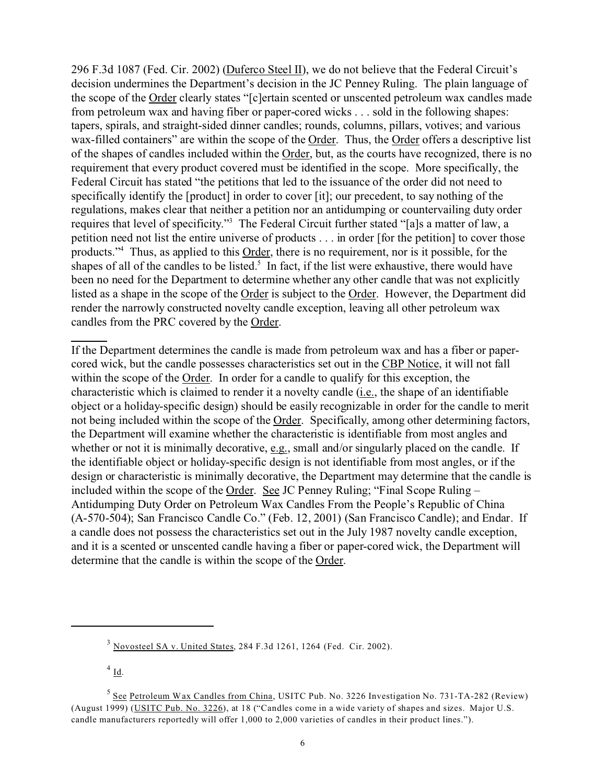296 F.3d 1087 (Fed. Cir. 2002) (Duferco Steel II), we do not believe that the Federal Circuit's decision undermines the Department's decision in the JC Penney Ruling. The plain language of the scope of the Order clearly states "[c]ertain scented or unscented petroleum wax candles made from petroleum wax and having fiber or paper-cored wicks . . . sold in the following shapes: tapers, spirals, and straight-sided dinner candles; rounds, columns, pillars, votives; and various wax-filled containers" are within the scope of the Order. Thus, the Order offers a descriptive list of the shapes of candles included within the Order, but, as the courts have recognized, there is no requirement that every product covered must be identified in the scope. More specifically, the Federal Circuit has stated "the petitions that led to the issuance of the order did not need to specifically identify the [product] in order to cover [it]; our precedent, to say nothing of the regulations, makes clear that neither a petition nor an antidumping or countervailing duty order requires that level of specificity."<sup>3</sup> The Federal Circuit further stated "[a]s a matter of law, a petition need not list the entire universe of products . . . in order [for the petition] to cover those products."<sup>4</sup> Thus, as applied to this **Order**, there is no requirement, nor is it possible, for the shapes of all of the candles to be listed.<sup>5</sup> In fact, if the list were exhaustive, there would have been no need for the Department to determine whether any other candle that was not explicitly listed as a shape in the scope of the Order is subject to the Order. However, the Department did render the narrowly constructed novelty candle exception, leaving all other petroleum wax candles from the PRC covered by the Order.

If the Department determines the candle is made from petroleum wax and has a fiber or papercored wick, but the candle possesses characteristics set out in the CBP Notice, it will not fall within the scope of the Order. In order for a candle to qualify for this exception, the characteristic which is claimed to render it a novelty candle (i.e., the shape of an identifiable object or a holiday-specific design) should be easily recognizable in order for the candle to merit not being included within the scope of the Order. Specifically, among other determining factors, the Department will examine whether the characteristic is identifiable from most angles and whether or not it is minimally decorative, e.g., small and/or singularly placed on the candle. If the identifiable object or holiday-specific design is not identifiable from most angles, or if the design or characteristic is minimally decorative, the Department may determine that the candle is included within the scope of the Order. See JC Penney Ruling; "Final Scope Ruling – Antidumping Duty Order on Petroleum Wax Candles From the People's Republic of China (A-570-504); San Francisco Candle Co." (Feb. 12, 2001) (San Francisco Candle); and Endar. If a candle does not possess the characteristics set out in the July 1987 novelty candle exception, and it is a scented or unscented candle having a fiber or paper-cored wick, the Department will determine that the candle is within the scope of the Order.

 $^{4}$  Id.

 $3$  Novosteel SA v. United States, 284 F.3d 1261, 1264 (Fed. Cir. 2002).

<sup>&</sup>lt;sup>5</sup> See Petroleum Wax Candles from China, USITC Pub. No. 3226 Investigation No. 731-TA-282 (Review) (August 1999) (USITC Pub. No. 3226), at 18 ("Candles come in a wide variety of shapes and sizes. Major U.S. candle manufacturers reportedly will offer 1,000 to 2,000 varieties of candles in their product lines.").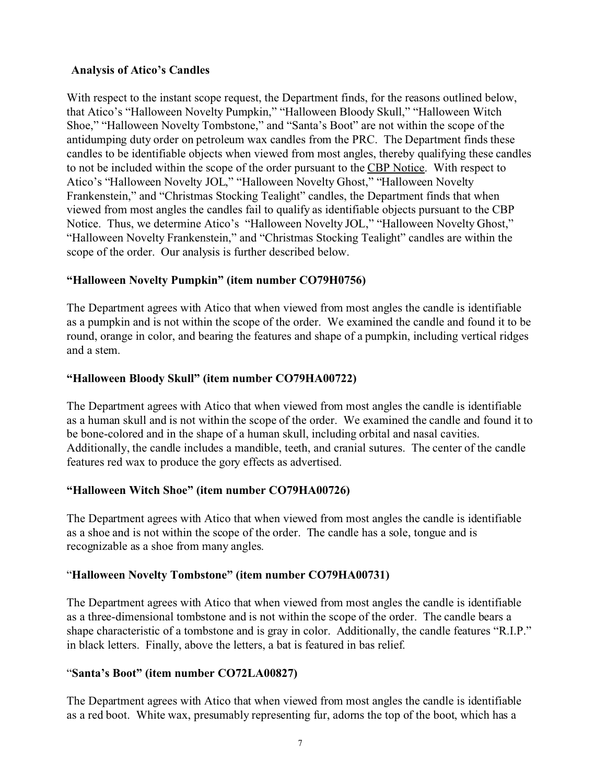#### **Analysis of Atico's Candles**

With respect to the instant scope request, the Department finds, for the reasons outlined below, that Atico's "Halloween Novelty Pumpkin," "Halloween Bloody Skull," "Halloween Witch Shoe," "Halloween Novelty Tombstone," and "Santa's Boot" are not within the scope of the antidumping duty order on petroleum wax candles from the PRC. The Department finds these candles to be identifiable objects when viewed from most angles, thereby qualifying these candles to not be included within the scope of the order pursuant to the CBP Notice. With respect to Atico's "Halloween Novelty JOL," "Halloween Novelty Ghost," "Halloween Novelty Frankenstein," and "Christmas Stocking Tealight" candles, the Department finds that when viewed from most angles the candles fail to qualify as identifiable objects pursuant to the CBP Notice. Thus, we determine Atico's "Halloween Novelty JOL," "Halloween Novelty Ghost," "Halloween Novelty Frankenstein," and "Christmas Stocking Tealight" candles are within the scope of the order. Our analysis is further described below.

## **"Halloween Novelty Pumpkin" (item number CO79H0756)**

The Department agrees with Atico that when viewed from most angles the candle is identifiable as a pumpkin and is not within the scope of the order. We examined the candle and found it to be round, orange in color, and bearing the features and shape of a pumpkin, including vertical ridges and a stem.

## **"Halloween Bloody Skull" (item number CO79HA00722)**

The Department agrees with Atico that when viewed from most angles the candle is identifiable as a human skull and is not within the scope of the order. We examined the candle and found it to be bone-colored and in the shape of a human skull, including orbital and nasal cavities. Additionally, the candle includes a mandible, teeth, and cranial sutures. The center of the candle features red wax to produce the gory effects as advertised.

## **"Halloween Witch Shoe" (item number CO79HA00726)**

The Department agrees with Atico that when viewed from most angles the candle is identifiable as a shoe and is not within the scope of the order. The candle has a sole, tongue and is recognizable as a shoe from many angles.

# "**Halloween Novelty Tombstone" (item number CO79HA00731)**

The Department agrees with Atico that when viewed from most angles the candle is identifiable as a three-dimensional tombstone and is not within the scope of the order. The candle bears a shape characteristic of a tombstone and is gray in color. Additionally, the candle features "R.I.P." in black letters. Finally, above the letters, a bat is featured in bas relief.

# "**Santa's Boot" (item number CO72LA00827)**

The Department agrees with Atico that when viewed from most angles the candle is identifiable as a red boot. White wax, presumably representing fur, adorns the top of the boot, which has a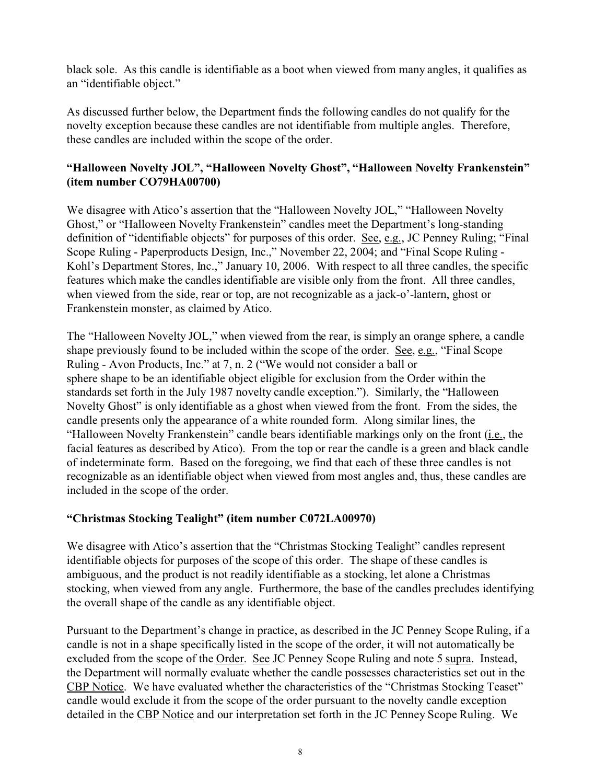black sole. As this candle is identifiable as a boot when viewed from many angles, it qualifies as an "identifiable object."

As discussed further below, the Department finds the following candles do not qualify for the novelty exception because these candles are not identifiable from multiple angles. Therefore, these candles are included within the scope of the order.

## **"Halloween Novelty JOL", "Halloween Novelty Ghost", "Halloween Novelty Frankenstein" (item number CO79HA00700)**

We disagree with Atico's assertion that the "Halloween Novelty JOL," "Halloween Novelty Ghost," or "Halloween Novelty Frankenstein" candles meet the Department's long-standing definition of "identifiable objects" for purposes of this order. <u>See, e.g.</u>, JC Penney Ruling; "Final Scope Ruling - Paperproducts Design, Inc.," November 22, 2004; and "Final Scope Ruling - Kohl's Department Stores, Inc.," January 10, 2006. With respect to all three candles, the specific features which make the candles identifiable are visible only from the front. All three candles, when viewed from the side, rear or top, are not recognizable as a jack-o'-lantern, ghost or Frankenstein monster, as claimed by Atico.

The "Halloween Novelty JOL," when viewed from the rear, is simply an orange sphere, a candle shape previously found to be included within the scope of the order. See, e.g., "Final Scope Ruling - Avon Products, Inc." at 7, n. 2 ("We would not consider a ball or sphere shape to be an identifiable object eligible for exclusion from the Order within the standards set forth in the July 1987 novelty candle exception."). Similarly, the "Halloween Novelty Ghost" is only identifiable as a ghost when viewed from the front. From the sides, the candle presents only the appearance of a white rounded form. Along similar lines, the "Halloween Novelty Frankenstein" candle bears identifiable markings only on the front (i.e., the facial features as described by Atico). From the top or rear the candle is a green and black candle of indeterminate form. Based on the foregoing, we find that each of these three candles is not recognizable as an identifiable object when viewed from most angles and, thus, these candles are included in the scope of the order.

## **"Christmas Stocking Tealight" (item number C072LA00970)**

We disagree with Atico's assertion that the "Christmas Stocking Tealight" candles represent identifiable objects for purposes of the scope of this order. The shape of these candles is ambiguous, and the product is not readily identifiable as a stocking, let alone a Christmas stocking, when viewed from any angle. Furthermore, the base of the candles precludes identifying the overall shape of the candle as any identifiable object.

Pursuant to the Department's change in practice, as described in the JC Penney Scope Ruling, if a candle is not in a shape specifically listed in the scope of the order, it will not automatically be excluded from the scope of the Order. See JC Penney Scope Ruling and note 5 supra. Instead, the Department will normally evaluate whether the candle possesses characteristics set out in the CBP Notice. We have evaluated whether the characteristics of the "Christmas Stocking Teaset" candle would exclude it from the scope of the order pursuant to the novelty candle exception detailed in the CBP Notice and our interpretation set forth in the JC Penney Scope Ruling. We